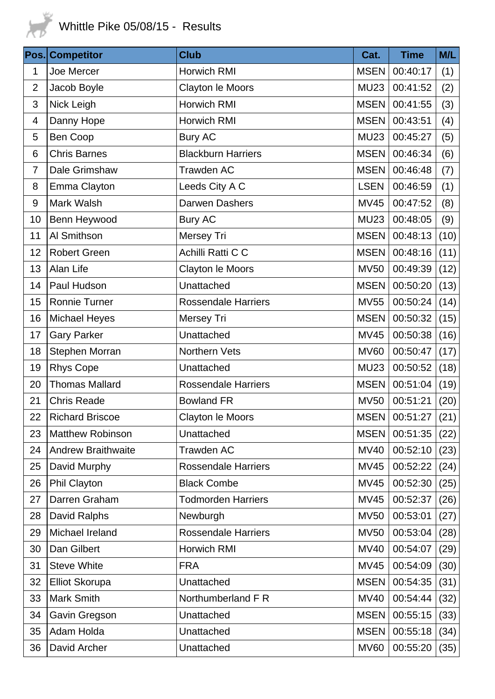

| Pos.                     | <b>Competitor</b>         | <b>Club</b>                | Cat.        | <b>Time</b>   | M/L  |
|--------------------------|---------------------------|----------------------------|-------------|---------------|------|
| 1                        | Joe Mercer                | Horwich RMI                | <b>MSEN</b> | 00:40:17      | (1)  |
| $\overline{2}$           | Jacob Boyle               | Clayton le Moors           | <b>MU23</b> | 00:41:52      | (2)  |
| 3                        | Nick Leigh                | Horwich RMI                | <b>MSEN</b> | 00:41:55      | (3)  |
| $\overline{\mathcal{A}}$ | Danny Hope                | Horwich RMI                | <b>MSEN</b> | 00:43:51      | (4)  |
| 5                        | Ben Coop                  | <b>Bury AC</b>             | <b>MU23</b> | 00:45:27      | (5)  |
| 6                        | <b>Chris Barnes</b>       | <b>Blackburn Harriers</b>  | <b>MSEN</b> | 00:46:34      | (6)  |
| $\overline{7}$           | Dale Grimshaw             | <b>Trawden AC</b>          | <b>MSEN</b> | 00:46:48      | (7)  |
| 8                        | Emma Clayton              | Leeds City A C             | <b>LSEN</b> | 00:46:59      | (1)  |
| $9\,$                    | Mark Walsh                | Darwen Dashers             | <b>MV45</b> | 00:47:52      | (8)  |
| 10                       | Benn Heywood              | <b>Bury AC</b>             | <b>MU23</b> | 00:48:05      | (9)  |
| 11                       | Al Smithson               | Mersey Tri                 | <b>MSEN</b> | 00:48:13      | (10) |
| 12                       | <b>Robert Green</b>       | Achilli Ratti C C          | <b>MSEN</b> | 00:48:16      | (11) |
| 13                       | Alan Life                 | Clayton le Moors           | <b>MV50</b> | 00:49:39      | (12) |
| 14                       | Paul Hudson               | Unattached                 | <b>MSEN</b> | 00:50:20      | (13) |
| 15                       | <b>Ronnie Turner</b>      | <b>Rossendale Harriers</b> | <b>MV55</b> | 00:50:24      | (14) |
| 16                       | <b>Michael Heyes</b>      | Mersey Tri                 | <b>MSEN</b> | 00:50:32      | (15) |
| 17                       | <b>Gary Parker</b>        | Unattached                 | <b>MV45</b> | 00:50:38      | (16) |
| 18                       | Stephen Morran            | Northern Vets              | <b>MV60</b> | 00:50:47      | (17) |
| 19                       | <b>Rhys Cope</b>          | Unattached                 | <b>MU23</b> | 00:50:52      | (18) |
| 20                       | <b>Thomas Mallard</b>     | <b>Rossendale Harriers</b> | <b>MSEN</b> | 00:51:04      | (19) |
| 21                       | <b>Chris Reade</b>        | <b>Bowland FR</b>          | <b>MV50</b> | 00:51:21      | (20) |
| 22                       | <b>Richard Briscoe</b>    | Clayton le Moors           |             | MSEN 00:51:27 | (21) |
| 23                       | <b>Matthew Robinson</b>   | Unattached                 | <b>MSEN</b> | 00:51:35      | (22) |
| 24                       | <b>Andrew Braithwaite</b> | <b>Trawden AC</b>          | <b>MV40</b> | 00:52:10      | (23) |
| 25                       | David Murphy              | <b>Rossendale Harriers</b> | <b>MV45</b> | 00:52:22      | (24) |
| 26                       | Phil Clayton              | <b>Black Combe</b>         | <b>MV45</b> | 00:52:30      | (25) |
| 27                       | Darren Graham             | <b>Todmorden Harriers</b>  | <b>MV45</b> | 00:52:37      | (26) |
| 28                       | <b>David Ralphs</b>       | Newburgh                   | <b>MV50</b> | 00:53:01      | (27) |
| 29                       | Michael Ireland           | <b>Rossendale Harriers</b> | <b>MV50</b> | 00:53:04      | (28) |
| 30                       | Dan Gilbert               | Horwich RMI                | <b>MV40</b> | 00:54:07      | (29) |
| 31                       | <b>Steve White</b>        | <b>FRA</b>                 | <b>MV45</b> | 00:54:09      | (30) |
| 32                       | <b>Elliot Skorupa</b>     | Unattached                 | <b>MSEN</b> | 00:54:35      | (31) |
| 33                       | <b>Mark Smith</b>         | Northumberland F R         | <b>MV40</b> | 00:54:44      | (32) |
| 34                       | Gavin Gregson             | Unattached                 | <b>MSEN</b> | 00:55:15      | (33) |
| 35                       | Adam Holda                | Unattached                 | <b>MSEN</b> | 00:55:18      | (34) |
| 36                       | David Archer              | Unattached                 | <b>MV60</b> | 00:55:20      | (35) |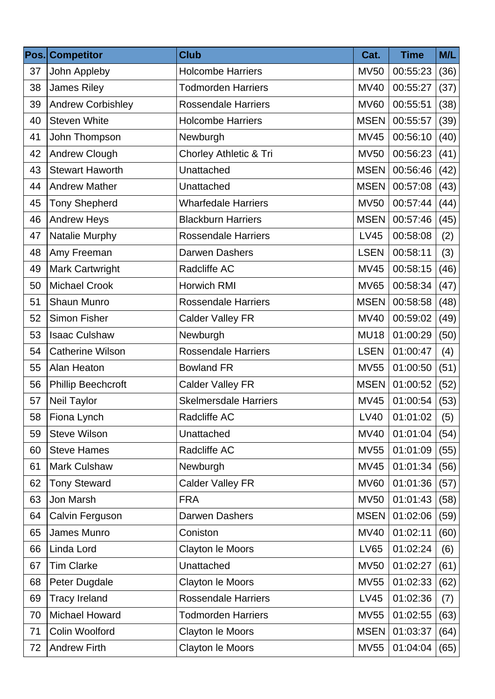| Pos. | <b>Competitor</b>         | <b>Club</b>                       | Cat.        | <b>Time</b> | M/L  |
|------|---------------------------|-----------------------------------|-------------|-------------|------|
| 37   | John Appleby              | <b>Holcombe Harriers</b>          | <b>MV50</b> | 00:55:23    | (36) |
| 38   | James Riley               | <b>Todmorden Harriers</b>         | <b>MV40</b> | 00:55:27    | (37) |
| 39   | <b>Andrew Corbishley</b>  | <b>Rossendale Harriers</b>        | <b>MV60</b> | 00:55:51    | (38) |
| 40   | <b>Steven White</b>       | <b>Holcombe Harriers</b>          | <b>MSEN</b> | 00:55:57    | (39) |
| 41   | John Thompson             | Newburgh                          | <b>MV45</b> | 00:56:10    | (40) |
| 42   | <b>Andrew Clough</b>      | <b>Chorley Athletic &amp; Tri</b> | <b>MV50</b> | 00:56:23    | (41) |
| 43   | <b>Stewart Haworth</b>    | Unattached                        | <b>MSEN</b> | 00:56:46    | (42) |
| 44   | <b>Andrew Mather</b>      | Unattached                        | <b>MSEN</b> | 00:57:08    | (43) |
| 45   | <b>Tony Shepherd</b>      | <b>Wharfedale Harriers</b>        | <b>MV50</b> | 00:57:44    | (44) |
| 46   | <b>Andrew Heys</b>        | <b>Blackburn Harriers</b>         | <b>MSEN</b> | 00:57:46    | (45) |
| 47   | Natalie Murphy            | <b>Rossendale Harriers</b>        | <b>LV45</b> | 00:58:08    | (2)  |
| 48   | Amy Freeman               | Darwen Dashers                    | <b>LSEN</b> | 00:58:11    | (3)  |
| 49   | <b>Mark Cartwright</b>    | Radcliffe AC                      | <b>MV45</b> | 00:58:15    | (46) |
| 50   | <b>Michael Crook</b>      | Horwich RMI                       | <b>MV65</b> | 00:58:34    | (47) |
| 51   | <b>Shaun Munro</b>        | <b>Rossendale Harriers</b>        | <b>MSEN</b> | 00:58:58    | (48) |
| 52   | Simon Fisher              | <b>Calder Valley FR</b>           | <b>MV40</b> | 00:59:02    | (49) |
| 53   | <b>Isaac Culshaw</b>      | Newburgh                          | <b>MU18</b> | 01:00:29    | (50) |
| 54   | <b>Catherine Wilson</b>   | <b>Rossendale Harriers</b>        | <b>LSEN</b> | 01:00:47    | (4)  |
| 55   | Alan Heaton               | <b>Bowland FR</b>                 | <b>MV55</b> | 01:00:50    | (51) |
| 56   | <b>Phillip Beechcroft</b> | <b>Calder Valley FR</b>           | <b>MSEN</b> | 01:00:52    | (52) |
| 57   | Neil Taylor               | <b>Skelmersdale Harriers</b>      | <b>MV45</b> | 01:00:54    | (53) |
| 58   | Fiona Lynch               | Radcliffe AC                      | LV40        | 01:01:02    | (5)  |
| 59   | <b>Steve Wilson</b>       | Unattached                        | <b>MV40</b> | 01:01:04    | (54) |
| 60   | <b>Steve Hames</b>        | Radcliffe AC                      | <b>MV55</b> | 01:01:09    | (55) |
| 61   | Mark Culshaw              | Newburgh                          | <b>MV45</b> | 01:01:34    | (56) |
| 62   | <b>Tony Steward</b>       | <b>Calder Valley FR</b>           | <b>MV60</b> | 01:01:36    | (57) |
| 63   | Jon Marsh                 | <b>FRA</b>                        | <b>MV50</b> | 01:01:43    | (58) |
| 64   | Calvin Ferguson           | Darwen Dashers                    | <b>MSEN</b> | 01:02:06    | (59) |
| 65   | James Munro               | Coniston                          | <b>MV40</b> | 01:02:11    | (60) |
| 66   | Linda Lord                | Clayton le Moors                  | <b>LV65</b> | 01:02:24    | (6)  |
| 67   | <b>Tim Clarke</b>         | Unattached                        | <b>MV50</b> | 01:02:27    | (61) |
| 68   | Peter Dugdale             | Clayton le Moors                  | <b>MV55</b> | 01:02:33    | (62) |
| 69   | <b>Tracy Ireland</b>      | <b>Rossendale Harriers</b>        | <b>LV45</b> | 01:02:36    | (7)  |
| 70   | <b>Michael Howard</b>     | <b>Todmorden Harriers</b>         | <b>MV55</b> | 01:02:55    | (63) |
| 71   | Colin Woolford            | Clayton le Moors                  | <b>MSEN</b> | 01:03:37    | (64) |
| 72   | <b>Andrew Firth</b>       | Clayton le Moors                  | <b>MV55</b> | 01:04:04    | (65) |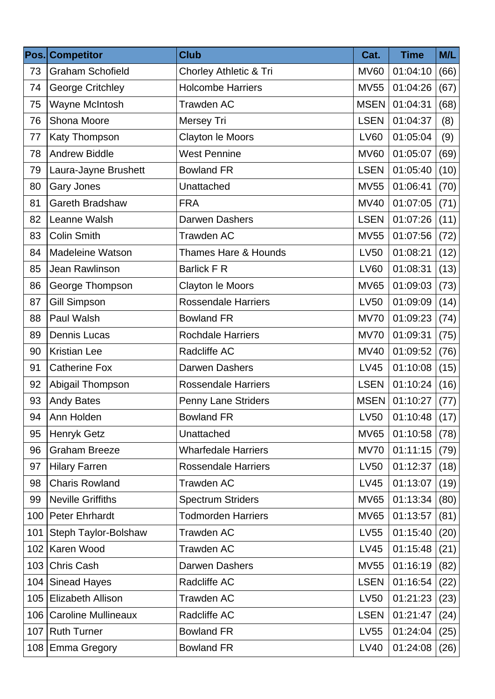| Pos. | <b>Competitor</b>          | <b>Club</b>                | Cat.        | <b>Time</b> | M/L  |
|------|----------------------------|----------------------------|-------------|-------------|------|
| 73   | <b>Graham Schofield</b>    | Chorley Athletic & Tri     | <b>MV60</b> | 01:04:10    | (66) |
| 74   | <b>George Critchley</b>    | <b>Holcombe Harriers</b>   | <b>MV55</b> | 01:04:26    | (67) |
| 75   | Wayne McIntosh             | <b>Trawden AC</b>          | <b>MSEN</b> | 01:04:31    | (68) |
| 76   | Shona Moore                | Mersey Tri                 | <b>LSEN</b> | 01:04:37    | (8)  |
| 77   | Katy Thompson              | Clayton le Moors           | <b>LV60</b> | 01:05:04    | (9)  |
| 78   | <b>Andrew Biddle</b>       | <b>West Pennine</b>        | <b>MV60</b> | 01:05:07    | (69) |
| 79   | Laura-Jayne Brushett       | <b>Bowland FR</b>          | <b>LSEN</b> | 01:05:40    | (10) |
| 80   | <b>Gary Jones</b>          | Unattached                 | <b>MV55</b> | 01:06:41    | (70) |
| 81   | <b>Gareth Bradshaw</b>     | <b>FRA</b>                 | <b>MV40</b> | 01:07:05    | (71) |
| 82   | Leanne Walsh               | Darwen Dashers             | <b>LSEN</b> | 01:07:26    | (11) |
| 83   | <b>Colin Smith</b>         | <b>Trawden AC</b>          | <b>MV55</b> | 01:07:56    | (72) |
| 84   | <b>Madeleine Watson</b>    | Thames Hare & Hounds       | <b>LV50</b> | 01:08:21    | (12) |
| 85   | Jean Rawlinson             | <b>Barlick F R</b>         | <b>LV60</b> | 01:08:31    | (13) |
| 86   | George Thompson            | Clayton le Moors           | <b>MV65</b> | 01:09:03    | (73) |
| 87   | <b>Gill Simpson</b>        | <b>Rossendale Harriers</b> | <b>LV50</b> | 01:09:09    | (14) |
| 88   | Paul Walsh                 | <b>Bowland FR</b>          | <b>MV70</b> | 01:09:23    | (74) |
| 89   | <b>Dennis Lucas</b>        | <b>Rochdale Harriers</b>   | <b>MV70</b> | 01:09:31    | (75) |
| 90   | <b>Kristian Lee</b>        | Radcliffe AC               | <b>MV40</b> | 01:09:52    | (76) |
| 91   | <b>Catherine Fox</b>       | <b>Darwen Dashers</b>      | <b>LV45</b> | 01:10:08    | (15) |
| 92   | Abigail Thompson           | <b>Rossendale Harriers</b> | <b>LSEN</b> | 01:10:24    | (16) |
| 93   | <b>Andy Bates</b>          | <b>Penny Lane Striders</b> | <b>MSEN</b> | 01:10:27    | (77) |
| 94   | Ann Holden                 | <b>Bowland FR</b>          | LV50        | 01:10:48    | (17) |
| 95   | <b>Henryk Getz</b>         | Unattached                 | <b>MV65</b> | 01:10:58    | (78) |
| 96   | <b>Graham Breeze</b>       | <b>Wharfedale Harriers</b> | <b>MV70</b> | 01:11:15    | (79) |
| 97   | <b>Hilary Farren</b>       | <b>Rossendale Harriers</b> | <b>LV50</b> | 01:12:37    | (18) |
| 98   | <b>Charis Rowland</b>      | <b>Trawden AC</b>          | <b>LV45</b> | 01:13:07    | (19) |
| 99   | <b>Neville Griffiths</b>   | <b>Spectrum Striders</b>   | <b>MV65</b> | 01:13:34    | (80) |
| 100  | <b>Peter Ehrhardt</b>      | <b>Todmorden Harriers</b>  | <b>MV65</b> | 01:13:57    | (81) |
| 101  | Steph Taylor-Bolshaw       | Trawden AC                 | <b>LV55</b> | 01:15:40    | (20) |
| 102  | Karen Wood                 | Trawden AC                 | <b>LV45</b> | 01:15:48    | (21) |
| 103  | Chris Cash                 | Darwen Dashers             | <b>MV55</b> | 01:16:19    | (82) |
| 104  | <b>Sinead Hayes</b>        | Radcliffe AC               | <b>LSEN</b> | 01:16:54    | (22) |
| 105  | <b>Elizabeth Allison</b>   | Trawden AC                 | <b>LV50</b> | 01:21:23    | (23) |
| 106  | <b>Caroline Mullineaux</b> | Radcliffe AC               | <b>LSEN</b> | 01:21:47    | (24) |
| 107  | <b>Ruth Turner</b>         | <b>Bowland FR</b>          | <b>LV55</b> | 01:24:04    | (25) |
| 108  | <b>Emma Gregory</b>        | <b>Bowland FR</b>          | LV40        | 01:24:08    | (26) |